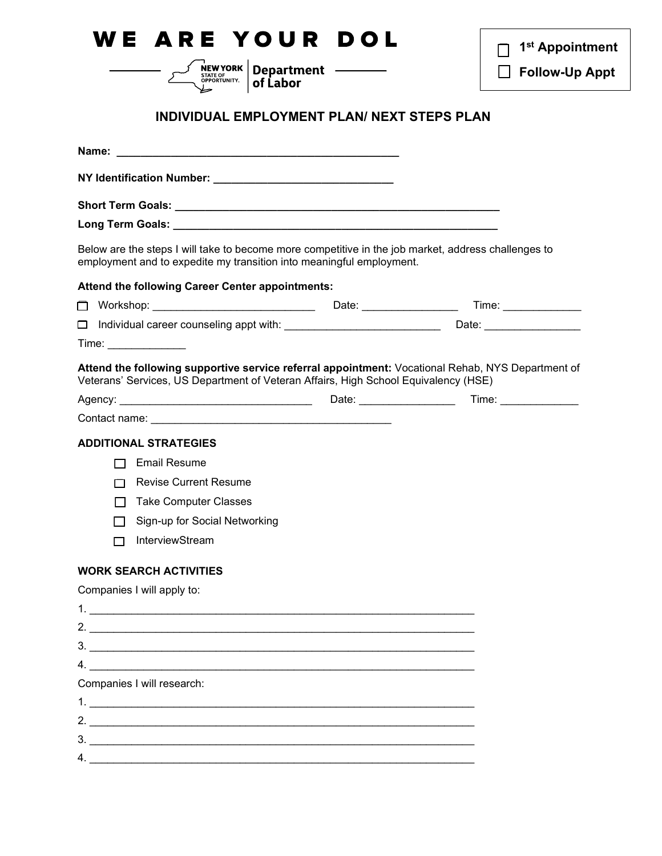| VE ARE YOUR DOL                                                                                                                                                                                                                                                                                                                                                                                                            | 1 <sup>st</sup> Appointment |
|----------------------------------------------------------------------------------------------------------------------------------------------------------------------------------------------------------------------------------------------------------------------------------------------------------------------------------------------------------------------------------------------------------------------------|-----------------------------|
| <b>SUPPORT AN EXEMPTED PROPERTY APPORTUNITY.</b> The <b>Department</b> $\sum_{\text{SPPORTUNITY.}}$<br>of Labor                                                                                                                                                                                                                                                                                                            | <b>Follow-Up Appt</b>       |
| <b>INDIVIDUAL EMPLOYMENT PLAN/ NEXT STEPS PLAN</b>                                                                                                                                                                                                                                                                                                                                                                         |                             |
|                                                                                                                                                                                                                                                                                                                                                                                                                            |                             |
|                                                                                                                                                                                                                                                                                                                                                                                                                            |                             |
|                                                                                                                                                                                                                                                                                                                                                                                                                            |                             |
|                                                                                                                                                                                                                                                                                                                                                                                                                            |                             |
| Below are the steps I will take to become more competitive in the job market, address challenges to<br>employment and to expedite my transition into meaningful employment.                                                                                                                                                                                                                                                |                             |
| Attend the following Career Center appointments:                                                                                                                                                                                                                                                                                                                                                                           |                             |
| □ Workshop: ___________________________  Date: ________________  Time: _____________                                                                                                                                                                                                                                                                                                                                       |                             |
| □ Individual career counseling appt with: ____________________________ Date: ______________________                                                                                                                                                                                                                                                                                                                        |                             |
| Attend the following supportive service referral appointment: Vocational Rehab, NYS Department of<br>Veterans' Services, US Department of Veteran Affairs, High School Equivalency (HSE)<br>Agency: Time: Time: Time: Time: Time: Time: Time: Time: Time: Time: Time: Time: Time: Time: Time: Time: Time: Time: Time: Time: Time: Time: Time: Time: Time: Time: Time: Time: Time: Time: Time: Time: Time: Time: Time: Time |                             |
|                                                                                                                                                                                                                                                                                                                                                                                                                            |                             |
| <b>ADDITIONAL STRATEGIES</b>                                                                                                                                                                                                                                                                                                                                                                                               |                             |
| <b>Email Resume</b>                                                                                                                                                                                                                                                                                                                                                                                                        |                             |
| <b>Revise Current Resume</b><br>П                                                                                                                                                                                                                                                                                                                                                                                          |                             |
| <b>Take Computer Classes</b><br>Sign-up for Social Networking                                                                                                                                                                                                                                                                                                                                                              |                             |
| InterviewStream                                                                                                                                                                                                                                                                                                                                                                                                            |                             |
|                                                                                                                                                                                                                                                                                                                                                                                                                            |                             |
| <b>WORK SEARCH ACTIVITIES</b>                                                                                                                                                                                                                                                                                                                                                                                              |                             |
| Companies I will apply to:                                                                                                                                                                                                                                                                                                                                                                                                 |                             |
| 2.                                                                                                                                                                                                                                                                                                                                                                                                                         |                             |
| 3.                                                                                                                                                                                                                                                                                                                                                                                                                         |                             |
| $\mathsf{4.}$                                                                                                                                                                                                                                                                                                                                                                                                              |                             |
| Companies I will research:                                                                                                                                                                                                                                                                                                                                                                                                 |                             |
|                                                                                                                                                                                                                                                                                                                                                                                                                            |                             |
| 2. $\frac{1}{2}$                                                                                                                                                                                                                                                                                                                                                                                                           |                             |
| 3.                                                                                                                                                                                                                                                                                                                                                                                                                         |                             |
|                                                                                                                                                                                                                                                                                                                                                                                                                            |                             |